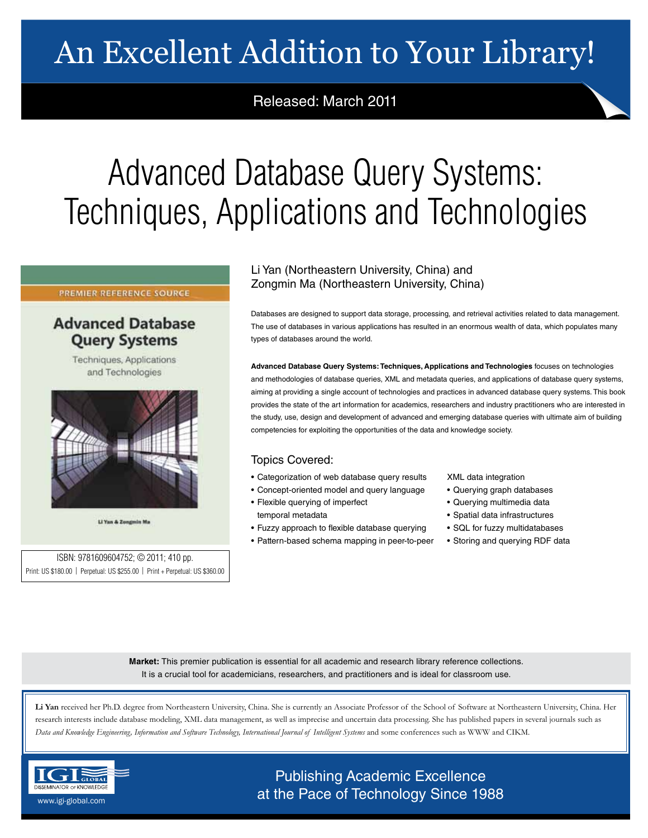# An Excellent Addition to Your Library!

# Released: March 2011

# Advanced Database Query Systems: Techniques, Applications and Technologies

### PREMIER REFERENCE SOURCE

## **Advanced Database Query Systems**

Techniques, Applications and Technologies



Li Yan & Zongmin Ma

ISBN: 9781609604752; © 2011; 410 pp. Print: US \$180.00 | Perpetual: US \$255.00 | Print + Perpetual: US \$360.00

## Li Yan (Northeastern University, China) and Zongmin Ma (Northeastern University, China)

Databases are designed to support data storage, processing, and retrieval activities related to data management. The use of databases in various applications has resulted in an enormous wealth of data, which populates many types of databases around the world.

**Advanced Database Query Systems: Techniques, Applications and Technologies** focuses on technologies and methodologies of database queries, XML and metadata queries, and applications of database query systems, aiming at providing a single account of technologies and practices in advanced database query systems. This book provides the state of the art information for academics, researchers and industry practitioners who are interested in the study, use, design and development of advanced and emerging database queries with ultimate aim of building competencies for exploiting the opportunities of the data and knowledge society.

## Topics Covered:

- Categorization of web database query results
- Concept-oriented model and query language
- Flexible querying of imperfect
- temporal metadata
- Fuzzy approach to flexible database querying • Pattern-based schema mapping in peer-to-peer
- XML data integration
- Querying graph databases
- Querying multimedia data
- Spatial data infrastructures
- SQL for fuzzy multidatabases
- Storing and querying RDF data

**Market:** This premier publication is essential for all academic and research library reference collections. It is a crucial tool for academicians, researchers, and practitioners and is ideal for classroom use.

**Li Yan** received her Ph.D. degree from Northeastern University, China. She is currently an Associate Professor of the School of Software at Northeastern University, China. Her research interests include database modeling, XML data management, as well as imprecise and uncertain data processing. She has published papers in several journals such as *Data and Knowledge Engineering, Information and Software Technology, International Journal of Intelligent Systems* and some conferences such as WWW and CIKM.



Publishing Academic Excellence **DISSEMINATOR OF KNOWLEDGE at the Pace of Technology Since 1988**